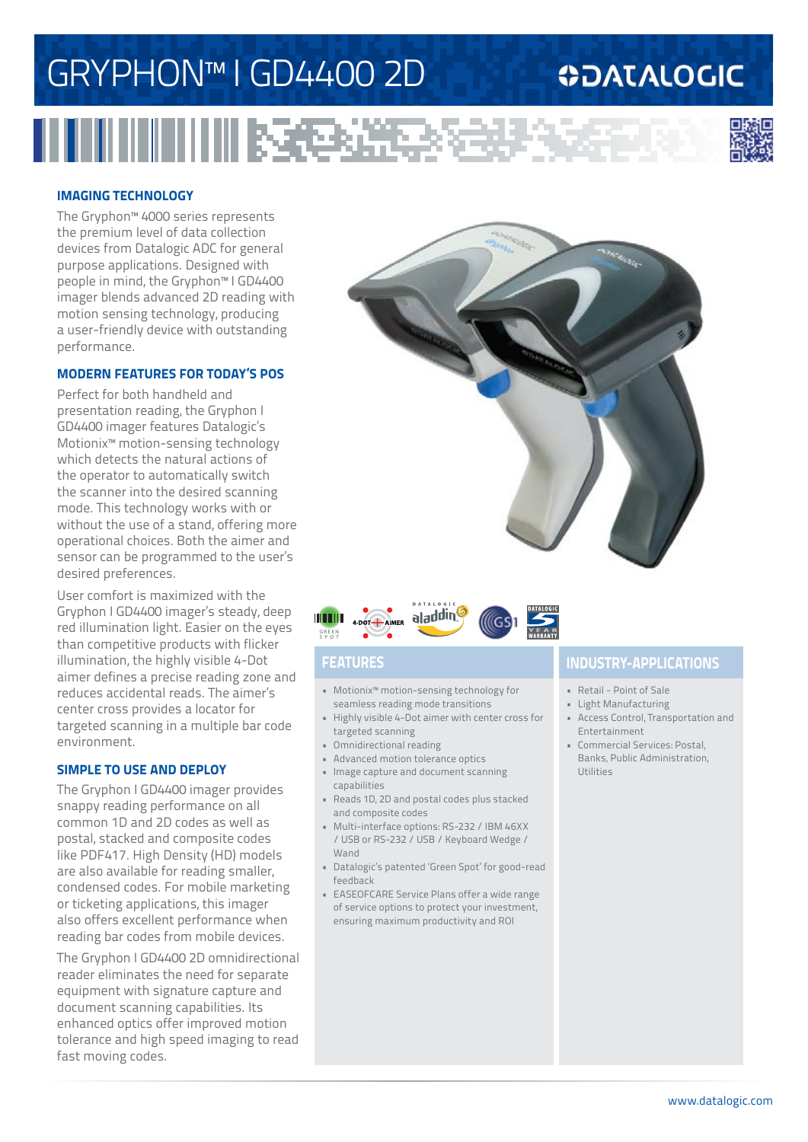# GRYPHON™ I GD4400 2D

### **ODATALOGIC**



#### **IMAGING TECHNOLOGY**

The Gryphon™ 4000 series represents the premium level of data collection devices from Datalogic ADC for general purpose applications. Designed with people in mind, the Gryphon™ I GD4400 imager blends advanced 2D reading with motion sensing technology, producing a user-friendly device with outstanding performance.

#### **MODERN FEATURES FOR TODAY'S POS**

Perfect for both handheld and presentation reading, the Gryphon I GD4400 imager features Datalogic's Motionix™ motion-sensing technology which detects the natural actions of the operator to automatically switch the scanner into the desired scanning mode. This technology works with or without the use of a stand, offering more operational choices. Both the aimer and sensor can be programmed to the user's desired preferences.

User comfort is maximized with the Gryphon I GD4400 imager's steady, deep red illumination light. Easier on the eyes than competitive products with flicker illumination, the highly visible 4-Dot aimer defines a precise reading zone and reduces accidental reads. The aimer's center cross provides a locator for targeted scanning in a multiple bar code environment.

#### **SIMPLE TO USE AND DEPLOY**

The Gryphon I GD4400 imager provides snappy reading performance on all common 1D and 2D codes as well as postal, stacked and composite codes like PDF417. High Density (HD) models are also available for reading smaller, condensed codes. For mobile marketing or ticketing applications, this imager also offers excellent performance when reading bar codes from mobile devices.

The Gryphon I GD4400 2D omnidirectional reader eliminates the need for separate equipment with signature capture and document scanning capabilities. Its enhanced optics offer improved motion tolerance and high speed imaging to read fast moving codes.





- Motionix™ motion-sensing technology for seamless reading mode transitions
- Highly visible 4-Dot aimer with center cross for targeted scanning
- Omnidirectional reading
- Advanced motion tolerance optics
- Image capture and document scanning capabilities
- Reads 1D, 2D and postal codes plus stacked and composite codes
- Multi-interface options: RS-232 / IBM 46XX / USB or RS-232 / USB / Keyboard Wedge / Wand
- Datalogic's patented 'Green Spot' for good-read feedback
- EASEOFCARE Service Plans offer a wide range of service options to protect your investment, ensuring maximum productivity and ROI

### **FEATURES INDUSTRY-APPLICATIONS**

- Retail Point of Sale
- Light Manufacturing
- Access Control, Transportation and Entertainment
- Commercial Services: Postal, Banks, Public Administration, Utilities